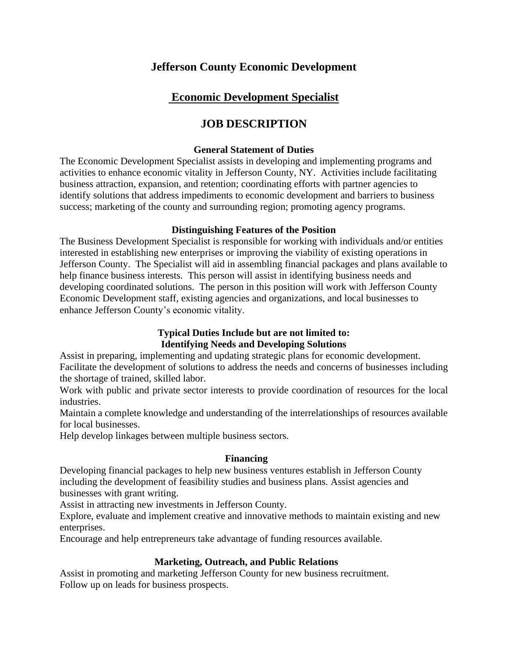# **Jefferson County Economic Development**

# **Economic Development Specialist**

# **JOB DESCRIPTION**

#### **General Statement of Duties**

The Economic Development Specialist assists in developing and implementing programs and activities to enhance economic vitality in Jefferson County, NY. Activities include facilitating business attraction, expansion, and retention; coordinating efforts with partner agencies to identify solutions that address impediments to economic development and barriers to business success; marketing of the county and surrounding region; promoting agency programs.

### **Distinguishing Features of the Position**

The Business Development Specialist is responsible for working with individuals and/or entities interested in establishing new enterprises or improving the viability of existing operations in Jefferson County. The Specialist will aid in assembling financial packages and plans available to help finance business interests. This person will assist in identifying business needs and developing coordinated solutions. The person in this position will work with Jefferson County Economic Development staff, existing agencies and organizations, and local businesses to enhance Jefferson County's economic vitality.

## **Typical Duties Include but are not limited to: Identifying Needs and Developing Solutions**

Assist in preparing, implementing and updating strategic plans for economic development. Facilitate the development of solutions to address the needs and concerns of businesses including the shortage of trained, skilled labor.

Work with public and private sector interests to provide coordination of resources for the local industries.

Maintain a complete knowledge and understanding of the interrelationships of resources available for local businesses.

Help develop linkages between multiple business sectors.

#### **Financing**

Developing financial packages to help new business ventures establish in Jefferson County including the development of feasibility studies and business plans. Assist agencies and businesses with grant writing.

Assist in attracting new investments in Jefferson County.

Explore, evaluate and implement creative and innovative methods to maintain existing and new enterprises.

Encourage and help entrepreneurs take advantage of funding resources available.

## **Marketing, Outreach, and Public Relations**

Assist in promoting and marketing Jefferson County for new business recruitment. Follow up on leads for business prospects.